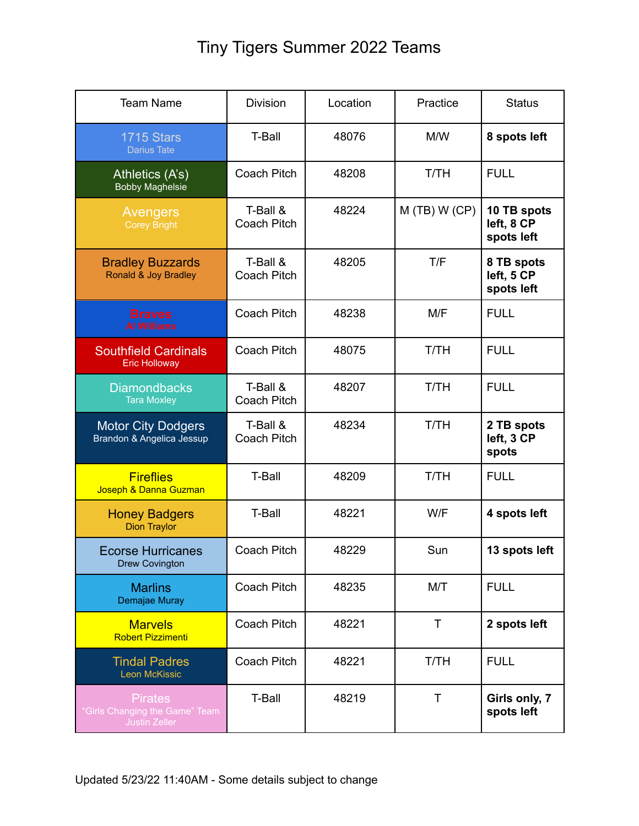## Tiny Tigers Summer 2022 Teams

| <b>Team Name</b>                                                         | <b>Division</b>         | Location | Practice       | <b>Status</b>                           |
|--------------------------------------------------------------------------|-------------------------|----------|----------------|-----------------------------------------|
| <b>1715 Stars</b><br><b>Darius Tate</b>                                  | <b>T-Ball</b>           | 48076    | M/W            | 8 spots left                            |
| Athletics (A's)<br><b>Bobby Maghelsie</b>                                | Coach Pitch             | 48208    | <b>T/TH</b>    | <b>FULL</b>                             |
| Avengers<br><b>Corey Bright</b>                                          | T-Ball &<br>Coach Pitch | 48224    | $M(TB)$ W (CP) | 10 TB spots<br>left, 8 CP<br>spots left |
| <b>Bradley Buzzards</b><br>Ronald & Joy Bradley                          | T-Ball &<br>Coach Pitch | 48205    | T/F            | 8 TB spots<br>left, 5 CP<br>spots left  |
| <b>Braves</b><br><b>Al Williams</b>                                      | Coach Pitch             | 48238    | M/F            | <b>FULL</b>                             |
| <b>Southfield Cardinals</b><br><b>Eric Holloway</b>                      | Coach Pitch             | 48075    | <b>T/TH</b>    | <b>FULL</b>                             |
| <b>Diamondbacks</b><br><b>Tara Moxley</b>                                | T-Ball &<br>Coach Pitch | 48207    | <b>T/TH</b>    | <b>FULL</b>                             |
| <b>Motor City Dodgers</b><br>Brandon & Angelica Jessup                   | T-Ball &<br>Coach Pitch | 48234    | <b>T/TH</b>    | 2 TB spots<br>left, 3 CP<br>spots       |
| <b>Fireflies</b><br>Joseph & Danna Guzman                                | <b>T-Ball</b>           | 48209    | <b>T/TH</b>    | <b>FULL</b>                             |
| <b>Honey Badgers</b><br><b>Dion Traylor</b>                              | <b>T-Ball</b>           | 48221    | W/F            | 4 spots left                            |
| <b>Ecorse Hurricanes</b><br><b>Drew Covington</b>                        | <b>Coach Pitch</b>      | 48229    | Sun            | 13 spots left                           |
| <b>Marlins</b><br>Demajae Muray                                          | Coach Pitch             | 48235    | M/T            | <b>FULL</b>                             |
| <b>Marvels</b><br><b>Robert Pizzimenti</b>                               | Coach Pitch             | 48221    | T              | 2 spots left                            |
| <b>Tindal Padres</b><br><b>Leon McKissic</b>                             | Coach Pitch             | 48221    | T/TH           | <b>FULL</b>                             |
| <b>Pirates</b><br>"Girls Changing the Game" Team<br><b>Justin Zeller</b> | <b>T-Ball</b>           | 48219    | Τ              | Girls only, 7<br>spots left             |